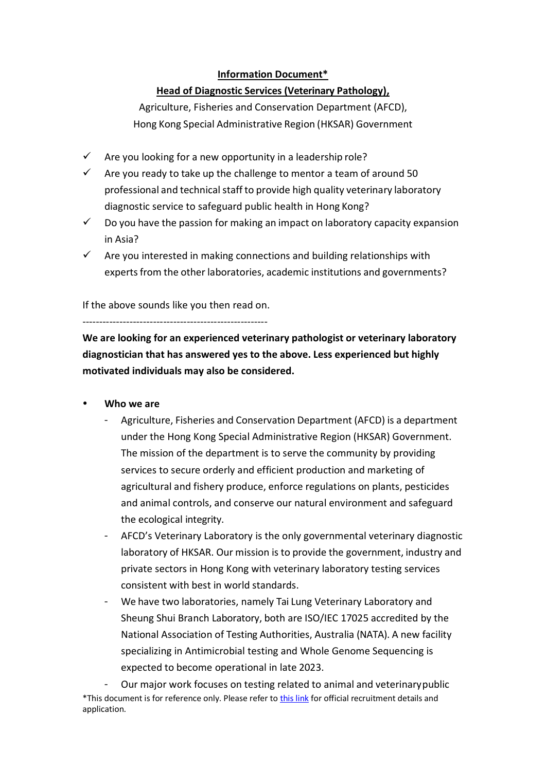## **Information Document\***

## **Head of Diagnostic Services (Veterinary Pathology),**

Agriculture, Fisheries and Conservation Department (AFCD), Hong Kong Special Administrative Region (HKSAR) Government

- $\checkmark$  Are you looking for a new opportunity in a leadership role?
- $\checkmark$  Are you ready to take up the challenge to mentor a team of around 50 professional and technical staff to provide high quality veterinary laboratory diagnostic service to safeguard public health in Hong Kong?
- $\checkmark$  Do you have the passion for making an impact on laboratory capacity expansion in Asia?
- $\checkmark$  Are you interested in making connections and building relationships with experts from the other laboratories, academic institutions and governments?

If the above sounds like you then read on.

‐‐‐‐‐‐‐‐‐‐‐‐‐‐‐‐‐‐‐‐‐‐‐‐‐‐‐‐‐‐‐‐‐‐‐‐‐‐‐‐‐‐‐‐‐‐‐‐‐‐‐‐‐‐‐

**We are looking for an experienced veterinary pathologist or veterinary laboratory diagnostician that has answered yes to the above. Less experienced but highly motivated individuals may also be considered.**

- **Who we are**
	- <sup>−</sup> Agriculture, Fisheries and Conservation Department (AFCD) is a department under the Hong Kong Special Administrative Region (HKSAR) Government. The mission of the department is to serve the community by providing services to secure orderly and efficient production and marketing of agricultural and fishery produce, enforce regulations on plants, pesticides and animal controls, and conserve our natural environment and safeguard the ecological integrity.
	- <sup>−</sup> AFCD's Veterinary Laboratory is the only governmental veterinary diagnostic laboratory of HKSAR. Our mission is to provide the government, industry and private sectors in Hong Kong with veterinary laboratory testing services consistent with best in world standards.
	- <sup>−</sup> We have two laboratories, namely Tai Lung Veterinary Laboratory and Sheung Shui Branch Laboratory, both are ISO/IEC 17025 accredited by the National Association of Testing Authorities, Australia (NATA). A new facility specializing in Antimicrobial testing and Whole Genome Sequencing is expected to become operational in late 2023.

\*This document is for reference only. Please refer t[o this link](https://csboa2.csb.gov.hk/csboa/jve/JVE_003.action?jobid=45570&extractDto.mark=&languageType=2&extractDto.showCheckList=Y&extractDto.onlineGF340=Y) for official recruitment details and application. Our major work focuses on testing related to animal and veterinarypublic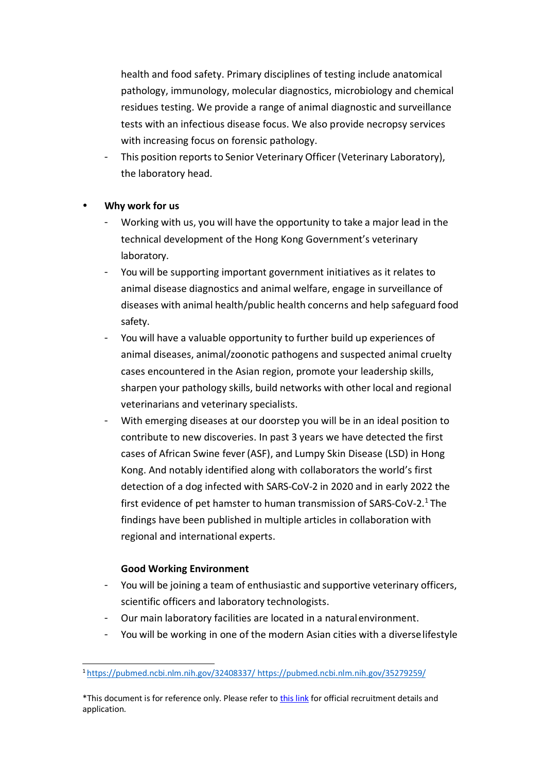health and food safety. Primary disciplines of testing include anatomical pathology, immunology, molecular diagnostics, microbiology and chemical residues testing. We provide a range of animal diagnostic and surveillance tests with an infectious disease focus. We also provide necropsy services with increasing focus on forensic pathology.

This position reports to Senior Veterinary Officer (Veterinary Laboratory), the laboratory head.

## **Why work for us**

- <sup>−</sup> Working with us, you will have the opportunity to take a major lead in the technical development of the Hong Kong Government's veterinary laboratory.
- You will be supporting important government initiatives as it relates to animal disease diagnostics and animal welfare, engage in surveillance of diseases with animal health/public health concerns and help safeguard food safety.
- You will have a valuable opportunity to further build up experiences of animal diseases, animal/zoonotic pathogens and suspected animal cruelty cases encountered in the Asian region, promote your leadership skills, sharpen your pathology skills, build networks with other local and regional veterinarians and veterinary specialists.
- With emerging diseases at our doorstep you will be in an ideal position to contribute to new discoveries. In past 3 years we have detected the first cases of African Swine fever (ASF), and Lumpy Skin Disease (LSD) in Hong Kong. And notably identified along with collaborators the world's first detection of a dog infected with SARS‐CoV‐2 in 2020 and in early 2022 the first evidence of pet hamster to human transmission of SARS‐CoV‐2.1 The findings have been published in multiple articles in collaboration with regional and international experts.

### **Good Working Environment**

- You will be joining a team of enthusiastic and supportive veterinary officers, scientific officers and laboratory technologists.
- Our main laboratory facilities are located in a natural environment.
- You will be working in one of the modern Asian cities with a diverse lifestyle

<sup>1</sup> https://pubmed.ncbi.nlm.nih.gov/32408337/ https://pubmed.ncbi.nlm.nih.gov/35279259/

<sup>\*</sup>This document is for reference only. Please refer t[o this link](https://csboa2.csb.gov.hk/csboa/jve/JVE_003.action?jobid=45570&extractDto.mark=&languageType=2&extractDto.showCheckList=Y&extractDto.onlineGF340=Y) for official recruitment details and application.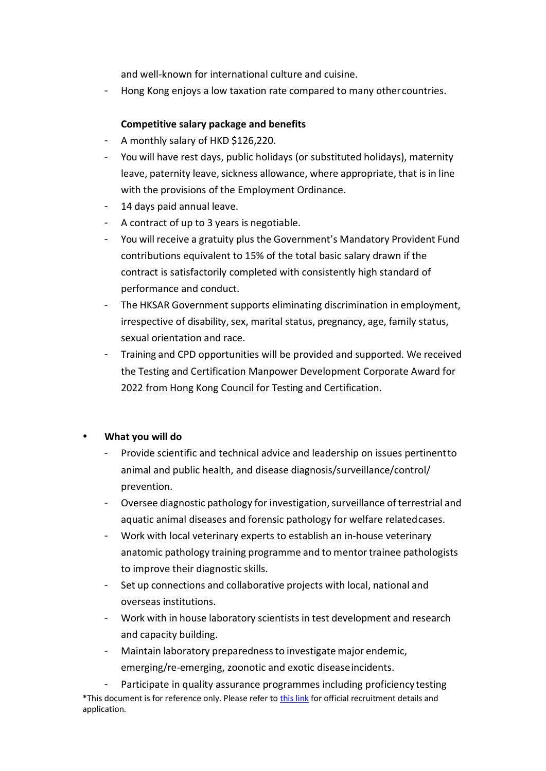and well‐known for international culture and cuisine.

<sup>−</sup> Hong Kong enjoys a low taxation rate compared to many othercountries.

## **Competitive salary package and benefits**

- <sup>−</sup> A monthly salary of HKD \$126,220.
- <sup>−</sup> You will have rest days, public holidays (or substituted holidays), maternity leave, paternity leave, sickness allowance, where appropriate, that is in line with the provisions of the Employment Ordinance.
- <sup>−</sup> 14 days paid annual leave.
- <sup>−</sup> A contract of up to 3 years is negotiable.
- <sup>−</sup> You will receive a gratuity plus the Government's Mandatory Provident Fund contributions equivalent to 15% of the total basic salary drawn if the contract is satisfactorily completed with consistently high standard of performance and conduct.
- The HKSAR Government supports eliminating discrimination in employment, irrespective of disability, sex, marital status, pregnancy, age, family status, sexual orientation and race.
- Training and CPD opportunities will be provided and supported. We received the Testing and Certification Manpower Development Corporate Award for 2022 from Hong Kong Council for Testing and Certification.

### **What you will do**

- Provide scientific and technical advice and leadership on issues pertinentto animal and public health, and disease diagnosis/surveillance/control/ prevention.
- − Oversee diagnostic pathology for investigation, surveillance of terrestrial and aquatic animal diseases and forensic pathology for welfare relatedcases.
- <sup>−</sup> Work with local veterinary experts to establish an in‐house veterinary anatomic pathology training programme and to mentor trainee pathologists to improve their diagnostic skills.
- Set up connections and collaborative projects with local, national and overseas institutions.
- <sup>−</sup> Work with in house laboratory scientists in test development and research and capacity building.
- <sup>−</sup> Maintain laboratory preparednessto investigate major endemic, emerging/re‐emerging, zoonotic and exotic diseaseincidents.

\*This document is for reference only. Please refer t[o this link](https://csboa2.csb.gov.hk/csboa/jve/JVE_003.action?jobid=45570&extractDto.mark=&languageType=2&extractDto.showCheckList=Y&extractDto.onlineGF340=Y) for official recruitment details and application. Participate in quality assurance programmes including proficiency testing